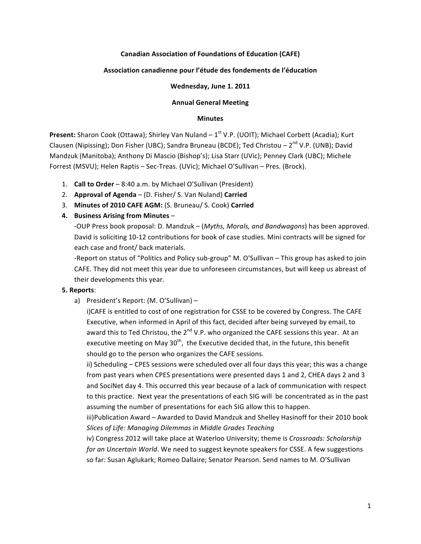## **Canadian Association of Foundations of Education (CAFE)**

### **Association canadienne pour l'étude des fondements de l'éducation**

#### Wednesday, June 1. 2011

#### **Annual General Meeting**

#### **Minutes**

**Present:** Sharon Cook (Ottawa); Shirley Van Nuland – 1<sup>st</sup> V.P. (UOIT); Michael Corbett (Acadia); Kurt Clausen (Nipissing); Don Fisher (UBC); Sandra Bruneau (BCDE); Ted Christou - 2<sup>nd</sup> V.P. (UNB); David Mandzuk (Manitoba); Anthony Di Mascio (Bishop's); Lisa Starr (UVic); Penney Clark (UBC); Michele Forrest (MSVU); Helen Raptis - Sec-Treas. (UVic); Michael O'Sullivan - Pres. (Brock).

- 1. **Call to Order** 8:40 a.m. by Michael O'Sullivan (President)
- 2. **Approval of Agenda** (D. Fisher/ S. Van Nuland) Carried
- 3. Minutes of 2010 CAFE AGM: (S. Bruneau/ S. Cook) Carried

## **4. Business Arising from Minutes** –

-OUP Press book proposal: D. Mandzuk – (*Myths, Morals, and Bandwagons*) has been approved. David is soliciting 10-12 contributions for book of case studies. Mini contracts will be signed for each case and front/ back materials.

-Report on status of "Politics and Policy sub-group" M. O'Sullivan - This group has asked to join CAFE. They did not meet this year due to unforeseen circumstances, but will keep us abreast of their developments this year.

### **5. Reports**:

a) President's Report: (M. O'Sullivan) -

i)CAFE is entitled to cost of one registration for CSSE to be covered by Congress. The CAFE Executive, when informed in April of this fact, decided after being surveyed by email, to award this to Ted Christou, the  $2^{nd}$  V.P. who organized the CAFE sessions this year. At an executive meeting on May 30<sup>th</sup>, the Executive decided that, in the future, this benefit should go to the person who organizes the CAFE sessions.

ii) Scheduling – CPES sessions were scheduled over all four days this year; this was a change from past years when CPES presentations were presented days 1 and 2, CHEA days 2 and 3 and SociNet day 4. This occurred this year because of a lack of communication with respect to this practice. Next year the presentations of each SIG will be concentrated as in the past assuming the number of presentations for each SIG allow this to happen.

iii)Publication Award – Awarded to David Mandzuk and Shelley Hasinoff for their 2010 book Slices of Life: Managing Dilemmas in Middle Grades Teaching

iv) Congress 2012 will take place at Waterloo University; theme is *Crossroads: Scholarship for an Uncertain World*. We need to suggest keynote speakers for CSSE. A few suggestions so far: Susan Aglukark; Romeo Dallaire; Senator Pearson. Send names to M. O'Sullivan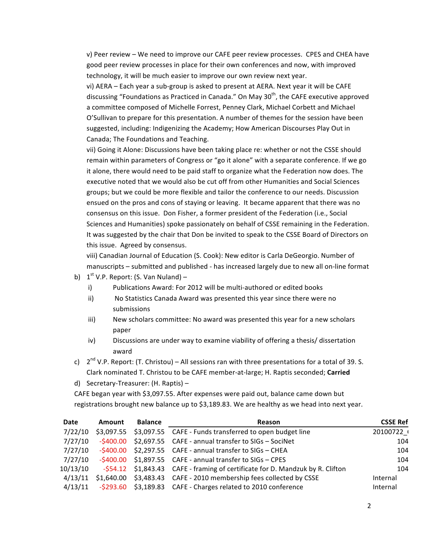v) Peer review – We need to improve our CAFE peer review processes. CPES and CHEA have good peer review processes in place for their own conferences and now, with improved technology, it will be much easier to improve our own review next year.

vi) AERA - Each year a sub-group is asked to present at AERA. Next year it will be CAFE discussing "Foundations as Practiced in Canada." On May  $30<sup>th</sup>$ , the CAFE executive approved a committee composed of Michelle Forrest, Penney Clark, Michael Corbett and Michael O'Sullivan to prepare for this presentation. A number of themes for the session have been suggested, including: Indigenizing the Academy; How American Discourses Play Out in Canada; The Foundations and Teaching.

vii) Going it Alone: Discussions have been taking place re: whether or not the CSSE should remain within parameters of Congress or "go it alone" with a separate conference. If we go it alone, there would need to be paid staff to organize what the Federation now does. The executive noted that we would also be cut off from other Humanities and Social Sciences groups; but we could be more flexible and tailor the conference to our needs. Discussion ensued on the pros and cons of staying or leaving. It became apparent that there was no consensus on this issue. Don Fisher, a former president of the Federation (i.e., Social Sciences and Humanities) spoke passionately on behalf of CSSE remaining in the Federation. It was suggested by the chair that Don be invited to speak to the CSSE Board of Directors on this issue. Agreed by consensus.

viii) Canadian Journal of Education (S. Cook): New editor is Carla DeGeorgio. Number of manuscripts – submitted and published - has increased largely due to new all on-line format

- b)  $1^{st}$  V.P. Report: (S. Van Nuland)
	- i) Publications Award: For 2012 will be multi-authored or edited books
	- ii) No Statistics Canada Award was presented this year since there were no submissions
	- iii) New scholars committee: No award was presented this year for a new scholars paper
	- iv) Discussions are under way to examine viability of offering a thesis/ dissertation award
- c)  $2^{nd}$  V.P. Report: (T. Christou) All sessions ran with three presentations for a total of 39. S. Clark nominated T. Christou to be CAFE member-at-large; H. Raptis seconded; Carried
- d) Secretary-Treasurer: (H. Raptis) -

CAFE began year with \$3,097.55. After expenses were paid out, balance came down but registrations brought new balance up to \$3,189.83. We are healthy as we head into next year.

| Date     | Amount | <b>Balance</b> | Reason                                                                         | <b>CSSE Ref</b> |
|----------|--------|----------------|--------------------------------------------------------------------------------|-----------------|
| 7/22/10  |        |                | \$3,097.55 \$3,097.55 CAFE - Funds transferred to open budget line             | 20100722        |
| 7/27/10  |        |                | $-$ \$400.00 \$2,697.55 CAFE - annual transfer to SIGs - SociNet               | 104             |
| 7/27/10  |        |                | $-$ \$400.00 \$2,297.55 CAFE - annual transfer to SIGs - CHEA                  | 104             |
| 7/27/10  |        |                | $-5400.00$ \$1,897.55 CAFE - annual transfer to SIGs - CPES                    | 104             |
| 10/13/10 |        |                | -\$54.12 \$1,843.43 CAFE - framing of certificate for D. Mandzuk by R. Clifton | 104             |
| 4/13/11  |        |                | $$1,640.00$ $$3,483.43$ CAFE - 2010 membership fees collected by CSSE          | Internal        |
| 4/13/11  |        |                | $-5293.60$ $53,189.83$ CAFE - Charges related to 2010 conference               | Internal        |